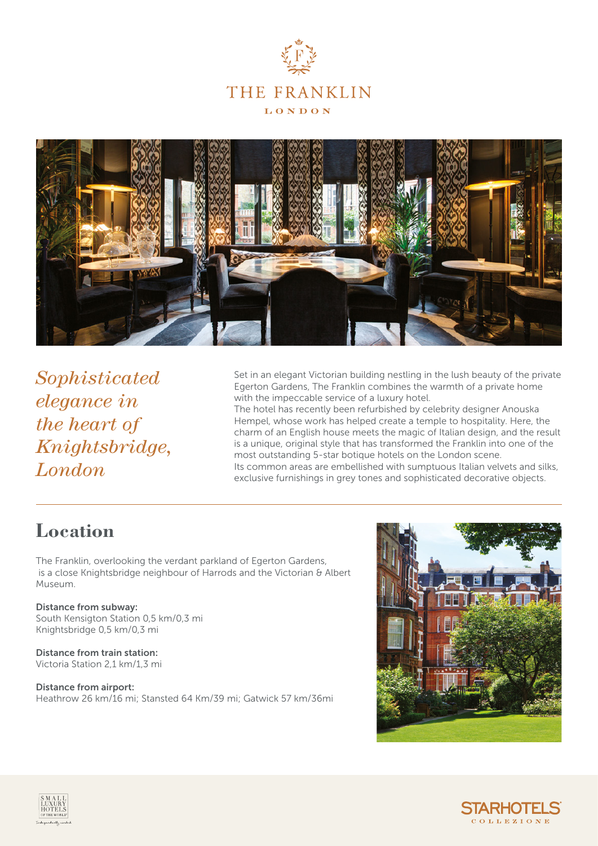



*Sophisticated elegance in the heart of Knightsbridge, London*

Set in an elegant Victorian building nestling in the lush beauty of the private Egerton Gardens, The Franklin combines the warmth of a private home with the impeccable service of a luxury hotel.

The hotel has recently been refurbished by celebrity designer Anouska Hempel, whose work has helped create a temple to hospitality. Here, the charm of an English house meets the magic of Italian design, and the result is a unique, original style that has transformed the Franklin into one of the most outstanding 5-star botique hotels on the London scene. Its common areas are embellished with sumptuous Italian velvets and silks, exclusive furnishings in grey tones and sophisticated decorative objects.

#### **Location**

The Franklin, overlooking the verdant parkland of Egerton Gardens, is a close Knightsbridge neighbour of Harrods and the Victorian & Albert Museum.

Distance from subway: South Kensigton Station 0,5 km/0,3 mi Knightsbridge 0,5 km/0,3 mi

Distance from train station: Victoria Station 2,1 km/1,3 mi

Distance from airport: Heathrow 26 km/16 mi; Stansted 64 Km/39 mi; Gatwick 57 km/36mi